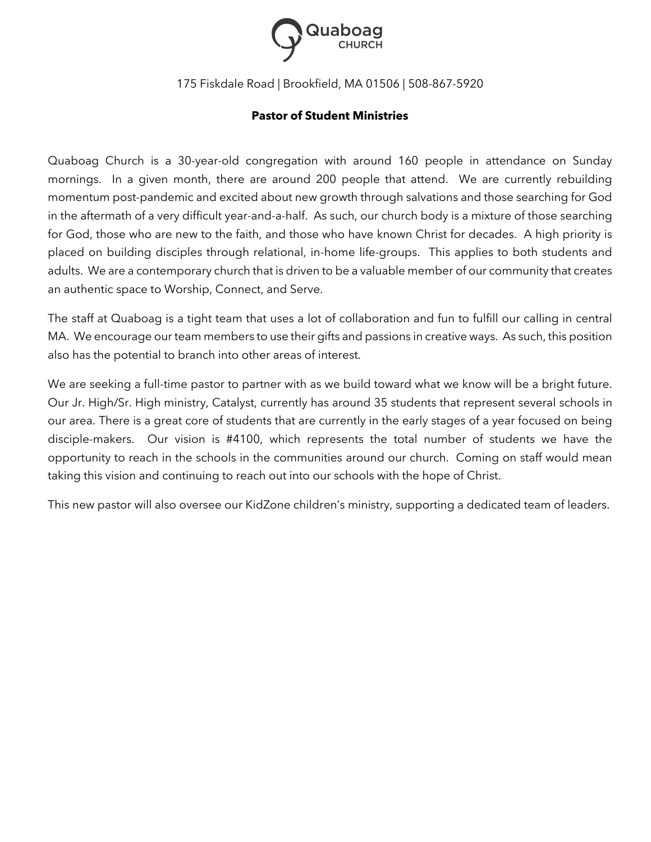

175 Fiskdale Road | Brookfield, MA 01506 | 508-867-5920

#### **Pastor of Student Ministries**

Quaboag Church is a 30-year-old congregation with around 160 people in attendance on Sunday mornings. In a given month, there are around 200 people that attend. We are currently rebuilding momentum post-pandemic and excited about new growth through salvations and those searching for God in the aftermath of a very difficult year-and-a-half. As such, our church body is a mixture of those searching for God, those who are new to the faith, and those who have known Christ for decades. A high priority is placed on building disciples through relational, in-home life-groups. This applies to both students and adults. We are a contemporary church that is driven to be a valuable member of our community that creates an authentic space to Worship, Connect, and Serve.

The staff at Quaboag is a tight team that uses a lot of collaboration and fun to fulfill our calling in central MA. We encourage our team members to use their gifts and passions in creative ways. As such, this position also has the potential to branch into other areas of interest.

We are seeking a full-time pastor to partner with as we build toward what we know will be a bright future. Our Jr. High/Sr. High ministry, Catalyst, currently has around 35 students that represent several schools in our area. There is a great core of students that are currently in the early stages of a year focused on being disciple-makers. Our vision is #4100, which represents the total number of students we have the opportunity to reach in the schools in the communities around our church. Coming on staff would mean taking this vision and continuing to reach out into our schools with the hope of Christ.

This new pastor will also oversee our KidZone children's ministry, supporting a dedicated team of leaders.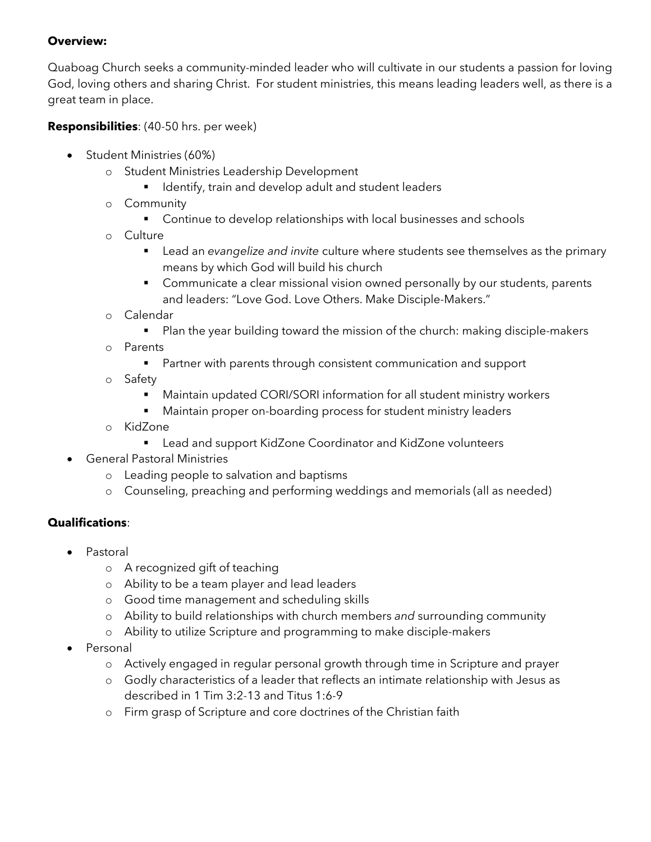### **Overview:**

Quaboag Church seeks a community-minded leader who will cultivate in our students a passion for loving God, loving others and sharing Christ. For student ministries, this means leading leaders well, as there is a great team in place.

## **Responsibilities**: (40-50 hrs. per week)

- Student Ministries (60%)
	- o Student Ministries Leadership Development
		- **•** Identify, train and develop adult and student leaders
	- o Community
		- Continue to develop relationships with local businesses and schools
	- o Culture
		- Lead an *evangelize and invite culture where students see themselves as the primary* means by which God will build his church
		- Communicate a clear missional vision owned personally by our students, parents and leaders: "Love God. Love Others. Make Disciple-Makers."
	- o Calendar
		- Plan the year building toward the mission of the church: making disciple-makers
	- o Parents
		- Partner with parents through consistent communication and support
	- o Safety
		- Maintain updated CORI/SORI information for all student ministry workers
		- Maintain proper on-boarding process for student ministry leaders
	- o KidZone
		- Lead and support KidZone Coordinator and KidZone volunteers
- General Pastoral Ministries
	- o Leading people to salvation and baptisms
	- o Counseling, preaching and performing weddings and memorials (all as needed)

# **Qualifications**:

- Pastoral
	- o A recognized gift of teaching
	- o Ability to be a team player and lead leaders
	- o Good time management and scheduling skills
	- o Ability to build relationships with church members *and* surrounding community
	- o Ability to utilize Scripture and programming to make disciple-makers
- Personal
	- o Actively engaged in regular personal growth through time in Scripture and prayer
	- o Godly characteristics of a leader that reflects an intimate relationship with Jesus as described in 1 Tim 3:2-13 and Titus 1:6-9
	- o Firm grasp of Scripture and core doctrines of the Christian faith